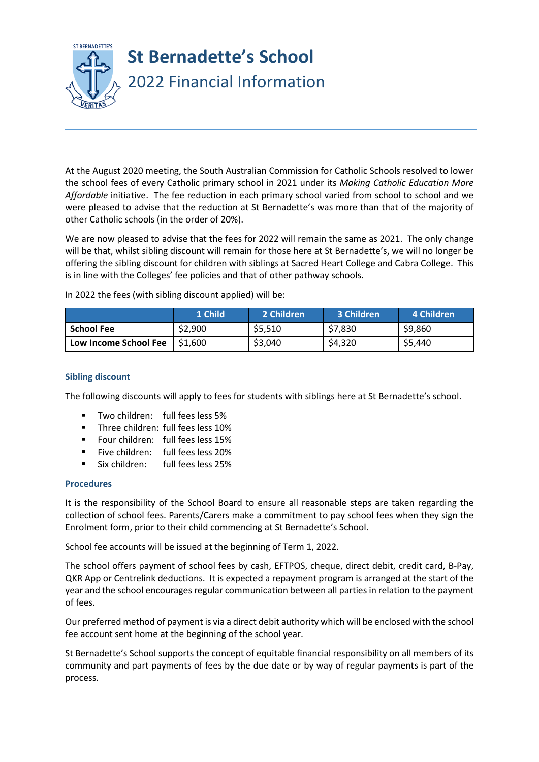

At the August 2020 meeting, the South Australian Commission for Catholic Schools resolved to lower the school fees of every Catholic primary school in 2021 under its *Making Catholic Education More Affordable* initiative. The fee reduction in each primary school varied from school to school and we were pleased to advise that the reduction at St Bernadette's was more than that of the majority of other Catholic schools (in the order of 20%).

We are now pleased to advise that the fees for 2022 will remain the same as 2021. The only change will be that, whilst sibling discount will remain for those here at St Bernadette's, we will no longer be offering the sibling discount for children with siblings at Sacred Heart College and Cabra College. This is in line with the Colleges' fee policies and that of other pathway schools.

|                       | 1 Child | 2 Children | 3 Children | 4 Children |
|-----------------------|---------|------------|------------|------------|
| <b>School Fee</b>     | \$2,900 | \$5,510    | \$7,830    | \$9,860    |
| Low Income School Fee | \$1.600 | \$3,040    | \$4,320    | \$5,440    |

In 2022 the fees (with sibling discount applied) will be:

# **Sibling discount**

The following discounts will apply to fees for students with siblings here at St Bernadette's school.

- **Two children:** full fees less 5%
- Three children: full fees less 10%
- Four children: full fees less 15%
- Five children: full fees less 20%
- Six children: full fees less 25%

## **Procedures**

It is the responsibility of the School Board to ensure all reasonable steps are taken regarding the collection of school fees. Parents/Carers make a commitment to pay school fees when they sign the Enrolment form, prior to their child commencing at St Bernadette's School.

School fee accounts will be issued at the beginning of Term 1, 2022.

The school offers payment of school fees by cash, EFTPOS, cheque, direct debit, credit card, B-Pay, QKR App or Centrelink deductions. It is expected a repayment program is arranged at the start of the year and the school encourages regular communication between all parties in relation to the payment of fees.

Our preferred method of payment is via a direct debit authority which will be enclosed with the school fee account sent home at the beginning of the school year.

St Bernadette's School supports the concept of equitable financial responsibility on all members of its community and part payments of fees by the due date or by way of regular payments is part of the process.